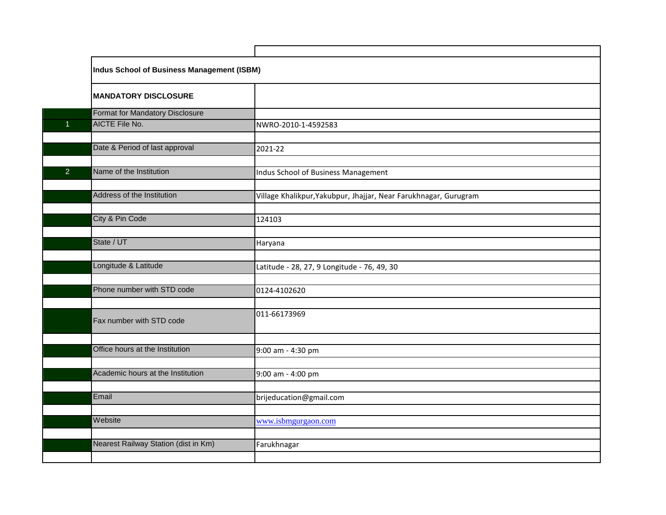|                      | Indus School of Business Management (ISBM) |                                                                  |  |  |
|----------------------|--------------------------------------------|------------------------------------------------------------------|--|--|
|                      | <b>MANDATORY DISCLOSURE</b>                |                                                                  |  |  |
|                      | <b>Format for Mandatory Disclosure</b>     |                                                                  |  |  |
| $\blacktriangleleft$ | <b>AICTE File No.</b>                      | NWRO-2010-1-4592583                                              |  |  |
|                      |                                            |                                                                  |  |  |
|                      | Date & Period of last approval             | 2021-22                                                          |  |  |
|                      |                                            |                                                                  |  |  |
| 2                    | Name of the Institution                    | Indus School of Business Management                              |  |  |
|                      |                                            |                                                                  |  |  |
|                      | Address of the Institution                 | Village Khalikpur, Yakubpur, Jhajjar, Near Farukhnagar, Gurugram |  |  |
|                      |                                            |                                                                  |  |  |
|                      | City & Pin Code                            | 124103                                                           |  |  |
|                      |                                            |                                                                  |  |  |
|                      | State / UT                                 | Haryana                                                          |  |  |
|                      |                                            |                                                                  |  |  |
|                      | Longitude & Latitude                       | Latitude - 28, 27, 9 Longitude - 76, 49, 30                      |  |  |
|                      |                                            |                                                                  |  |  |
|                      | Phone number with STD code                 | 0124-4102620                                                     |  |  |
|                      |                                            |                                                                  |  |  |
|                      | Fax number with STD code                   | 011-66173969                                                     |  |  |
|                      |                                            |                                                                  |  |  |
|                      | Office hours at the Institution            | 9:00 am - 4:30 pm                                                |  |  |
|                      |                                            |                                                                  |  |  |
|                      | Academic hours at the Institution          | 9:00 am - 4:00 pm                                                |  |  |
|                      |                                            |                                                                  |  |  |
|                      | Email                                      | brijeducation@gmail.com                                          |  |  |
|                      |                                            |                                                                  |  |  |
|                      | Website                                    | www.isbmgurgaon.com                                              |  |  |
|                      |                                            |                                                                  |  |  |
|                      | Nearest Railway Station (dist in Km)       | Farukhnagar                                                      |  |  |
|                      |                                            |                                                                  |  |  |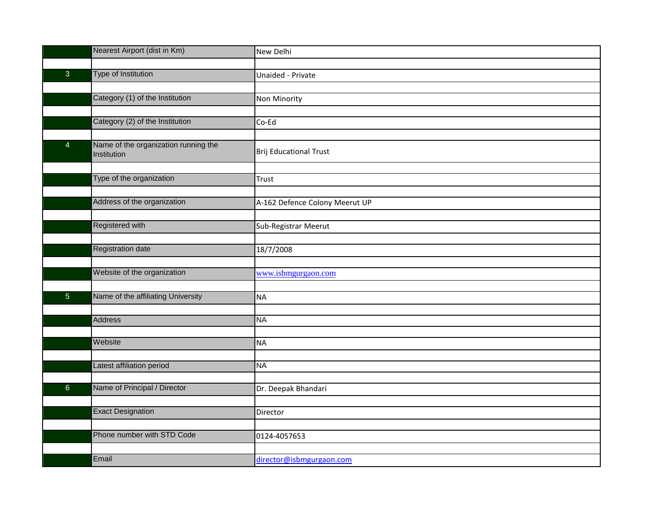|                | Nearest Airport (dist in Km)                        | New Delhi                      |
|----------------|-----------------------------------------------------|--------------------------------|
|                |                                                     |                                |
| $\overline{3}$ | Type of Institution                                 | Unaided - Private              |
|                |                                                     |                                |
|                | Category (1) of the Institution                     | Non Minority                   |
|                |                                                     |                                |
|                | Category (2) of the Institution                     | Co-Ed                          |
|                |                                                     |                                |
| $\overline{4}$ | Name of the organization running the<br>Institution | <b>Brij Educational Trust</b>  |
|                |                                                     |                                |
|                | Type of the organization                            | Trust                          |
|                |                                                     |                                |
|                | Address of the organization                         | A-162 Defence Colony Meerut UP |
|                |                                                     |                                |
|                | <b>Registered with</b>                              | Sub-Registrar Meerut           |
|                |                                                     |                                |
|                | <b>Registration date</b>                            | 18/7/2008                      |
|                |                                                     |                                |
|                | Website of the organization                         | www.isbmgurgaon.com            |
|                |                                                     |                                |
| $\overline{5}$ | Name of the affiliating University                  | <b>NA</b>                      |
|                |                                                     |                                |
|                | <b>Address</b>                                      | <b>NA</b>                      |
|                | Website                                             |                                |
|                |                                                     | <b>NA</b>                      |
|                | Latest affiliation period                           | <b>NA</b>                      |
|                |                                                     |                                |
| $6\phantom{1}$ | Name of Principal / Director                        | Dr. Deepak Bhandari            |
|                |                                                     |                                |
|                | <b>Exact Designation</b>                            | Director                       |
|                |                                                     |                                |
|                | Phone number with STD Code                          | 0124-4057653                   |
|                |                                                     |                                |
|                | Email                                               | director@isbmgurgaon.com       |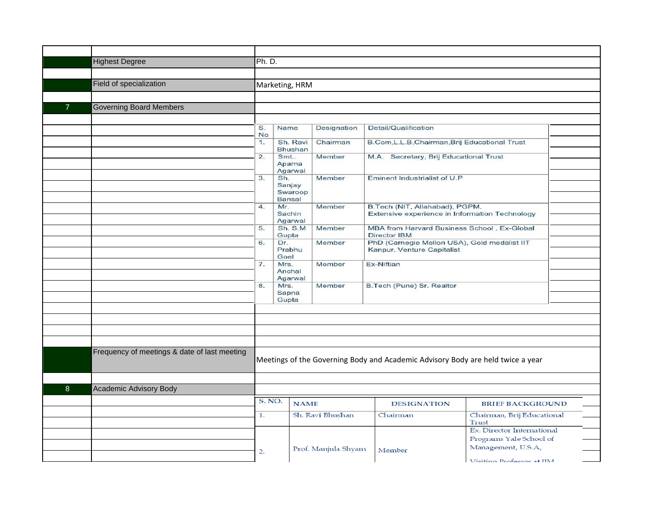|                | <b>Highest Degree</b>                        | Ph. D.        |                                   |                     |                                                                                 |                                     |
|----------------|----------------------------------------------|---------------|-----------------------------------|---------------------|---------------------------------------------------------------------------------|-------------------------------------|
|                |                                              |               |                                   |                     |                                                                                 |                                     |
|                | Field of specialization                      |               | Marketing, HRM                    |                     |                                                                                 |                                     |
|                |                                              |               |                                   |                     |                                                                                 |                                     |
| $\overline{7}$ | <b>Governing Board Members</b>               |               |                                   |                     |                                                                                 |                                     |
|                |                                              |               |                                   |                     |                                                                                 |                                     |
|                |                                              | S.            | Name                              | Designation         | Detail/Qualification                                                            |                                     |
|                |                                              | No<br>1.      | Sh. Ravi                          | Chairman            | B.Com, L.L.B, Chairman, Brij Educational Trust                                  |                                     |
|                |                                              |               | <b>Bhushan</b>                    |                     |                                                                                 |                                     |
|                |                                              | 2.            | Smt<br>Aparna<br>Agarwal          | Member              | M.A. Secretary, Brij Educational Trust                                          |                                     |
|                |                                              | 3.            | Sh.<br>Sanjay                     | Member              | Eminent Industrialist of U.P                                                    |                                     |
|                |                                              |               | Swaroop<br>Bansal                 |                     |                                                                                 |                                     |
|                |                                              | 4.            | Mr.                               | Member              | B.Tech (NIT, Allahabad), PGPM.                                                  |                                     |
|                |                                              |               | Sachin<br>Agarwal                 |                     | Extensive experience in Information Technology                                  |                                     |
|                |                                              | 5.            | Sh. S.M<br>Gupta                  | Member              | MBA from Harvard Business School, Ex-Global<br>Director IBM                     |                                     |
|                |                                              | 6.            | Dr.<br>Prabhu<br>Goel             | Member              | PhD (Carnegie Mellon USA), Gold medalist IIT<br>Kanpur, Venture Capitalist      |                                     |
|                |                                              | 7.            | Mrs.<br>Anchal                    | Member              | Ex-Niftian                                                                      |                                     |
|                |                                              | 8.            | Agarwal<br>Mrs.<br>Sapna<br>Gupta | Member              | B.Tech (Pune) Sr. Realtor                                                       |                                     |
|                |                                              |               |                                   |                     |                                                                                 |                                     |
|                |                                              |               |                                   |                     |                                                                                 |                                     |
|                |                                              |               |                                   |                     |                                                                                 |                                     |
|                |                                              |               |                                   |                     |                                                                                 |                                     |
|                | Frequency of meetings & date of last meeting |               |                                   |                     | Meetings of the Governing Body and Academic Advisory Body are held twice a year |                                     |
|                |                                              |               |                                   |                     |                                                                                 |                                     |
| 8              | Academic Advisory Body                       |               |                                   |                     |                                                                                 |                                     |
|                |                                              | <b>S. NO.</b> | <b>NAME</b>                       |                     | <b>DESIGNATION</b>                                                              | <b>BRIEF BACKGROUND</b>             |
|                |                                              | 1.            |                                   | Sh. Ravi Bhushan    | Chairman                                                                        | Chairman, Brij Educational<br>Trust |
|                |                                              |               |                                   |                     |                                                                                 | Ex. Director International          |
|                |                                              |               |                                   |                     |                                                                                 | Programs Yale School of             |
|                |                                              | 2.            |                                   | Prof. Manjula Shyam | Member                                                                          | Management, U.S.A,                  |
|                |                                              |               |                                   |                     |                                                                                 | Viciting Professor at IIM           |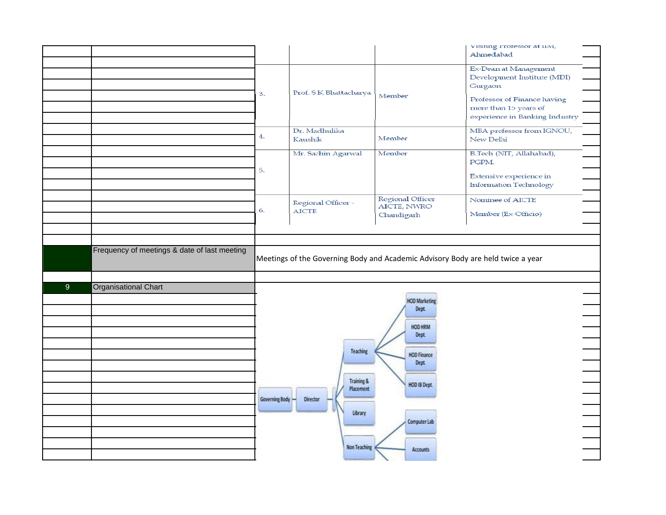|   |                                              |                |                                                                                 |                                                                                                                         | visiting riotessor at mvi,<br>Ahmedabad                                                |
|---|----------------------------------------------|----------------|---------------------------------------------------------------------------------|-------------------------------------------------------------------------------------------------------------------------|----------------------------------------------------------------------------------------|
|   |                                              |                |                                                                                 |                                                                                                                         |                                                                                        |
|   |                                              |                |                                                                                 |                                                                                                                         | Ex-Dean at Management<br>Development Institute (MDI)<br><b>Gurgaon</b>                 |
|   |                                              | З.             | Prof. S.K. Bhattacharya                                                         | Member                                                                                                                  | Professor of Finance having<br>more than 15 years of<br>experience in Banking Industry |
|   |                                              | 4.             | Dr. Madhulika<br>Kaushik                                                        | Member                                                                                                                  | MBA professor from IGNOU,<br>New Delhi                                                 |
|   |                                              | 5.             | Mr. Sachin Agarwal                                                              | Member                                                                                                                  | B.Tech (NIT, Allahabad),<br>PGPM.                                                      |
|   |                                              |                |                                                                                 |                                                                                                                         | Extensive experience in<br><b>Information Technology</b>                               |
|   |                                              | 6.             | Regional Officer -<br><b>AICTE</b>                                              | Regional Officer<br>AICTE, NWRO<br>Chandigarh                                                                           | Nominee of AICTE<br>Member (Ex-Officio)                                                |
|   |                                              |                |                                                                                 |                                                                                                                         |                                                                                        |
|   |                                              |                |                                                                                 |                                                                                                                         |                                                                                        |
|   | Frequency of meetings & date of last meeting |                | Meetings of the Governing Body and Academic Advisory Body are held twice a year |                                                                                                                         |                                                                                        |
|   |                                              |                |                                                                                 |                                                                                                                         |                                                                                        |
| 9 | <b>Organisational Chart</b>                  | Governing Body | Teaching<br><b>Training &amp;</b><br>Placement<br>Director<br>Library           | <b>HOD Marketing</b><br>Dept.<br><b>HOD HRM</b><br>Dept.<br><b>HOD Finance</b><br>Dept.<br>HOD IB Dept.<br>Computer Lab |                                                                                        |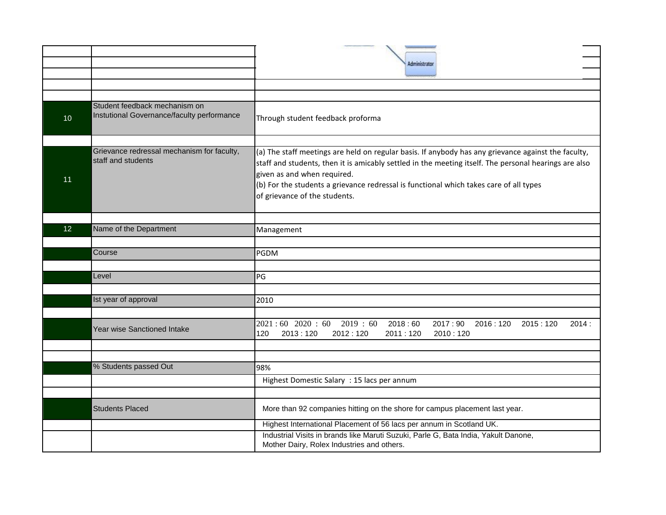|    |                                                                             | Administrato                                                                                                                                                                                                                                                                                                                                                           |
|----|-----------------------------------------------------------------------------|------------------------------------------------------------------------------------------------------------------------------------------------------------------------------------------------------------------------------------------------------------------------------------------------------------------------------------------------------------------------|
|    |                                                                             |                                                                                                                                                                                                                                                                                                                                                                        |
| 10 | Student feedback mechanism on<br>Instutional Governance/faculty performance | Through student feedback proforma                                                                                                                                                                                                                                                                                                                                      |
| 11 | Grievance redressal mechanism for faculty,<br>staff and students            | (a) The staff meetings are held on regular basis. If anybody has any grievance against the faculty,<br>staff and students, then it is amicably settled in the meeting itself. The personal hearings are also<br>given as and when required.<br>(b) For the students a grievance redressal is functional which takes care of all types<br>of grievance of the students. |
| 12 | Name of the Department                                                      | Management                                                                                                                                                                                                                                                                                                                                                             |
|    |                                                                             |                                                                                                                                                                                                                                                                                                                                                                        |
|    | Course                                                                      | PGDM                                                                                                                                                                                                                                                                                                                                                                   |
|    |                                                                             |                                                                                                                                                                                                                                                                                                                                                                        |
|    | Level                                                                       | PG                                                                                                                                                                                                                                                                                                                                                                     |
|    |                                                                             |                                                                                                                                                                                                                                                                                                                                                                        |
|    | Ist year of approval                                                        | 2010                                                                                                                                                                                                                                                                                                                                                                   |
|    | <b>Year wise Sanctioned Intake</b>                                          | $2021:60$ 2020:60<br>2019:60<br>2018:60<br>2017:90<br>2016:120<br>2015:120<br>2014:<br>120<br>2013:120<br>2012:120<br>2011:120<br>2010:120                                                                                                                                                                                                                             |
|    |                                                                             |                                                                                                                                                                                                                                                                                                                                                                        |
|    | % Students passed Out                                                       | 98%                                                                                                                                                                                                                                                                                                                                                                    |
|    |                                                                             | Highest Domestic Salary : 15 lacs per annum                                                                                                                                                                                                                                                                                                                            |
|    | <b>Students Placed</b>                                                      | More than 92 companies hitting on the shore for campus placement last year.                                                                                                                                                                                                                                                                                            |
|    |                                                                             | Highest International Placement of 56 lacs per annum in Scotland UK.                                                                                                                                                                                                                                                                                                   |
|    |                                                                             | Industrial Visits in brands like Maruti Suzuki, Parle G, Bata India, Yakult Danone,<br>Mother Dairy, Rolex Industries and others.                                                                                                                                                                                                                                      |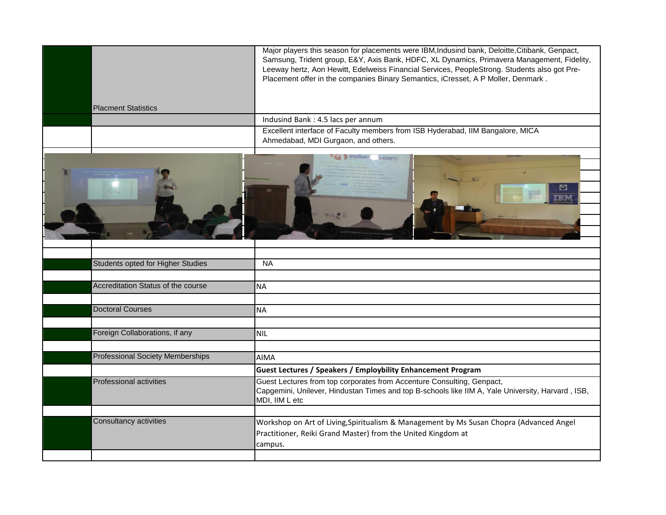|                                         | Major players this season for placements were IBM, Indusind bank, Deloitte, Citibank, Genpact,<br>Samsung, Trident group, E&Y, Axis Bank, HDFC, XL Dynamics, Primavera Management, Fidelity,<br>Leeway hertz, Aon Hewitt, Edelweiss Financial Services, PeopleStrong. Students also got Pre-<br>Placement offer in the companies Binary Semantics, iCresset, A P Moller, Denmark. |
|-----------------------------------------|-----------------------------------------------------------------------------------------------------------------------------------------------------------------------------------------------------------------------------------------------------------------------------------------------------------------------------------------------------------------------------------|
| <b>Placment Statistics</b>              |                                                                                                                                                                                                                                                                                                                                                                                   |
|                                         | Indusind Bank: 4.5 lacs per annum                                                                                                                                                                                                                                                                                                                                                 |
|                                         | Excellent interface of Faculty members from ISB Hyderabad, IIM Bangalore, MICA<br>Ahmedabad, MDI Gurgaon, and others.                                                                                                                                                                                                                                                             |
|                                         | M Indian<br>t.com                                                                                                                                                                                                                                                                                                                                                                 |
| Students opted for Higher Studies       | <b>NA</b>                                                                                                                                                                                                                                                                                                                                                                         |
|                                         |                                                                                                                                                                                                                                                                                                                                                                                   |
| Accreditation Status of the course      | <b>NA</b>                                                                                                                                                                                                                                                                                                                                                                         |
|                                         |                                                                                                                                                                                                                                                                                                                                                                                   |
| <b>Doctoral Courses</b>                 | <b>NA</b>                                                                                                                                                                                                                                                                                                                                                                         |
|                                         |                                                                                                                                                                                                                                                                                                                                                                                   |
| Foreign Collaborations, if any          | <b>NIL</b>                                                                                                                                                                                                                                                                                                                                                                        |
|                                         |                                                                                                                                                                                                                                                                                                                                                                                   |
| <b>Professional Society Memberships</b> | <b>AIMA</b>                                                                                                                                                                                                                                                                                                                                                                       |
|                                         | <b>Guest Lectures / Speakers / Employbility Enhancement Program</b>                                                                                                                                                                                                                                                                                                               |
| <b>Professional activities</b>          | Guest Lectures from top corporates from Accenture Consulting, Genpact,<br>Capgemini, Unilever, Hindustan Times and top B-schools like IIM A, Yale University, Harvard, ISB,<br>MDI, IIM L etc                                                                                                                                                                                     |
| Consultancy activities                  | Workshop on Art of Living, Spiritualism & Management by Ms Susan Chopra (Advanced Angel                                                                                                                                                                                                                                                                                           |
|                                         | Practitioner, Reiki Grand Master) from the United Kingdom at                                                                                                                                                                                                                                                                                                                      |
|                                         | campus.                                                                                                                                                                                                                                                                                                                                                                           |
|                                         |                                                                                                                                                                                                                                                                                                                                                                                   |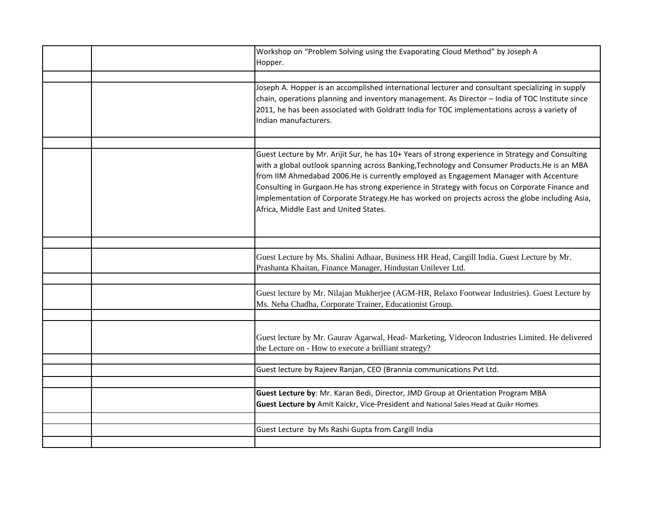|  | Workshop on "Problem Solving using the Evaporating Cloud Method" by Joseph A<br>Hopper.                                                                                                                                                                                                                                                                                                                                                                                                                                                     |
|--|---------------------------------------------------------------------------------------------------------------------------------------------------------------------------------------------------------------------------------------------------------------------------------------------------------------------------------------------------------------------------------------------------------------------------------------------------------------------------------------------------------------------------------------------|
|  |                                                                                                                                                                                                                                                                                                                                                                                                                                                                                                                                             |
|  | Joseph A. Hopper is an accomplished international lecturer and consultant specializing in supply<br>chain, operations planning and inventory management. As Director - India of TOC Institute since<br>2011, he has been associated with Goldratt India for TOC implementations across a variety of<br>Indian manufacturers.                                                                                                                                                                                                                |
|  |                                                                                                                                                                                                                                                                                                                                                                                                                                                                                                                                             |
|  | Guest Lecture by Mr. Arijit Sur, he has 10+ Years of strong experience in Strategy and Consulting<br>with a global outlook spanning across Banking, Technology and Consumer Products. He is an MBA<br>from IIM Ahmedabad 2006.He is currently employed as Engagement Manager with Accenture<br>Consulting in Gurgaon. He has strong experience in Strategy with focus on Corporate Finance and<br>Implementation of Corporate Strategy.He has worked on projects across the globe including Asia,<br>Africa, Middle East and United States. |
|  |                                                                                                                                                                                                                                                                                                                                                                                                                                                                                                                                             |
|  | Guest Lecture by Ms. Shalini Adhaar, Business HR Head, Cargill India. Guest Lecture by Mr.<br>Prashanta Khaitan, Finance Manager, Hindustan Unilever Ltd.                                                                                                                                                                                                                                                                                                                                                                                   |
|  |                                                                                                                                                                                                                                                                                                                                                                                                                                                                                                                                             |
|  | Guest lecture by Mr. Nilajan Mukherjee (AGM-HR, Relaxo Footwear Industries). Guest Lecture by<br>Ms. Neha Chadha, Corporate Trainer, Educationist Group.                                                                                                                                                                                                                                                                                                                                                                                    |
|  |                                                                                                                                                                                                                                                                                                                                                                                                                                                                                                                                             |
|  | Guest lecture by Mr. Gaurav Agarwal, Head- Marketing, Videocon Industries Limited. He delivered<br>the Lecture on - How to execute a brilliant strategy?                                                                                                                                                                                                                                                                                                                                                                                    |
|  |                                                                                                                                                                                                                                                                                                                                                                                                                                                                                                                                             |
|  | Guest lecture by Rajeev Ranjan, CEO (Brannia communications Pvt Ltd.                                                                                                                                                                                                                                                                                                                                                                                                                                                                        |
|  |                                                                                                                                                                                                                                                                                                                                                                                                                                                                                                                                             |
|  | Guest Lecture by: Mr. Karan Bedi, Director, JMD Group at Orientation Program MBA<br>Guest Lecture by Amit Kaickr, Vice-President and National Sales Head at Quikr Homes                                                                                                                                                                                                                                                                                                                                                                     |
|  |                                                                                                                                                                                                                                                                                                                                                                                                                                                                                                                                             |
|  | Guest Lecture by Ms Rashi Gupta from Cargill India                                                                                                                                                                                                                                                                                                                                                                                                                                                                                          |
|  |                                                                                                                                                                                                                                                                                                                                                                                                                                                                                                                                             |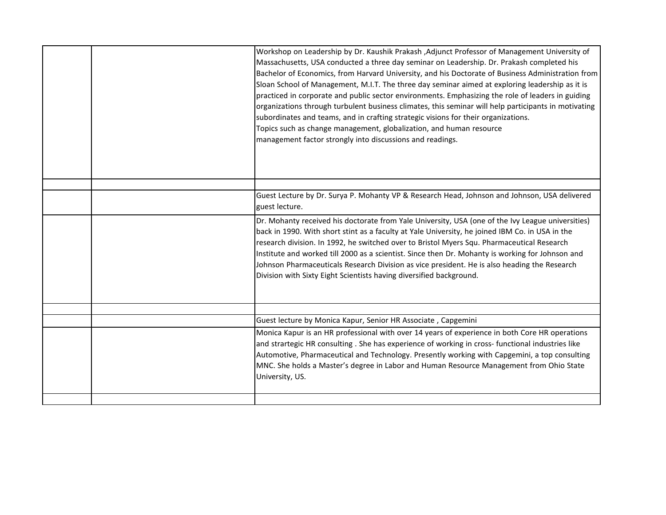|  | Workshop on Leadership by Dr. Kaushik Prakash , Adjunct Professor of Management University of<br>Massachusetts, USA conducted a three day seminar on Leadership. Dr. Prakash completed his<br>Bachelor of Economics, from Harvard University, and his Doctorate of Business Administration from<br>Sloan School of Management, M.I.T. The three day seminar aimed at exploring leadership as it is<br>practiced in corporate and public sector environments. Emphasizing the role of leaders in guiding<br>organizations through turbulent business climates, this seminar will help participants in motivating<br>subordinates and teams, and in crafting strategic visions for their organizations.<br>Topics such as change management, globalization, and human resource<br>management factor strongly into discussions and readings. |
|--|-------------------------------------------------------------------------------------------------------------------------------------------------------------------------------------------------------------------------------------------------------------------------------------------------------------------------------------------------------------------------------------------------------------------------------------------------------------------------------------------------------------------------------------------------------------------------------------------------------------------------------------------------------------------------------------------------------------------------------------------------------------------------------------------------------------------------------------------|
|  |                                                                                                                                                                                                                                                                                                                                                                                                                                                                                                                                                                                                                                                                                                                                                                                                                                           |
|  | Guest Lecture by Dr. Surya P. Mohanty VP & Research Head, Johnson and Johnson, USA delivered<br>guest lecture.                                                                                                                                                                                                                                                                                                                                                                                                                                                                                                                                                                                                                                                                                                                            |
|  | Dr. Mohanty received his doctorate from Yale University, USA (one of the Ivy League universities)<br>back in 1990. With short stint as a faculty at Yale University, he joined IBM Co. in USA in the<br>research division. In 1992, he switched over to Bristol Myers Squ. Pharmaceutical Research<br>Institute and worked till 2000 as a scientist. Since then Dr. Mohanty is working for Johnson and<br>Johnson Pharmaceuticals Research Division as vice president. He is also heading the Research<br>Division with Sixty Eight Scientists having diversified background.                                                                                                                                                                                                                                                             |
|  |                                                                                                                                                                                                                                                                                                                                                                                                                                                                                                                                                                                                                                                                                                                                                                                                                                           |
|  | Guest lecture by Monica Kapur, Senior HR Associate, Capgemini                                                                                                                                                                                                                                                                                                                                                                                                                                                                                                                                                                                                                                                                                                                                                                             |
|  | Monica Kapur is an HR professional with over 14 years of experience in both Core HR operations<br>and strartegic HR consulting. She has experience of working in cross- functional industries like<br>Automotive, Pharmaceutical and Technology. Presently working with Capgemini, a top consulting<br>MNC. She holds a Master's degree in Labor and Human Resource Management from Ohio State<br>University, US.                                                                                                                                                                                                                                                                                                                                                                                                                         |
|  |                                                                                                                                                                                                                                                                                                                                                                                                                                                                                                                                                                                                                                                                                                                                                                                                                                           |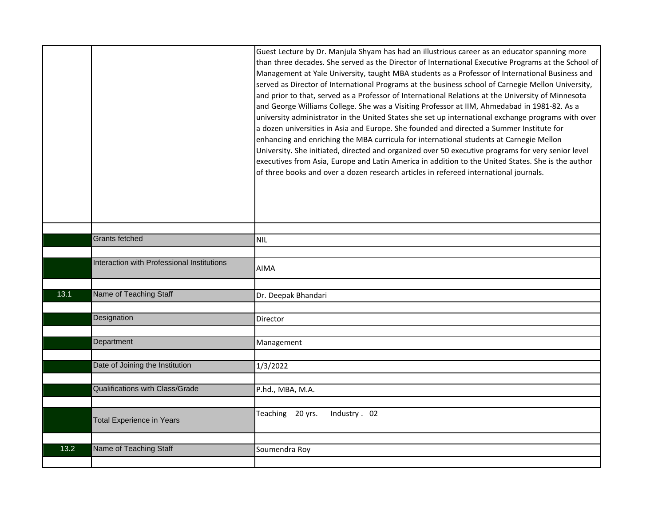|      |                                            | Guest Lecture by Dr. Manjula Shyam has had an illustrious career as an educator spanning more<br>than three decades. She served as the Director of International Executive Programs at the School of<br>Management at Yale University, taught MBA students as a Professor of International Business and<br>served as Director of International Programs at the business school of Carnegie Mellon University,<br>and prior to that, served as a Professor of International Relations at the University of Minnesota<br>and George Williams College. She was a Visiting Professor at IIM, Ahmedabad in 1981-82. As a<br>university administrator in the United States she set up international exchange programs with over<br>a dozen universities in Asia and Europe. She founded and directed a Summer Institute for<br>enhancing and enriching the MBA curricula for international students at Carnegie Mellon<br>University. She initiated, directed and organized over 50 executive programs for very senior level<br>executives from Asia, Europe and Latin America in addition to the United States. She is the author<br>of three books and over a dozen research articles in refereed international journals. |
|------|--------------------------------------------|-----------------------------------------------------------------------------------------------------------------------------------------------------------------------------------------------------------------------------------------------------------------------------------------------------------------------------------------------------------------------------------------------------------------------------------------------------------------------------------------------------------------------------------------------------------------------------------------------------------------------------------------------------------------------------------------------------------------------------------------------------------------------------------------------------------------------------------------------------------------------------------------------------------------------------------------------------------------------------------------------------------------------------------------------------------------------------------------------------------------------------------------------------------------------------------------------------------------------|
|      |                                            |                                                                                                                                                                                                                                                                                                                                                                                                                                                                                                                                                                                                                                                                                                                                                                                                                                                                                                                                                                                                                                                                                                                                                                                                                       |
|      | Grants fetched                             | NIL                                                                                                                                                                                                                                                                                                                                                                                                                                                                                                                                                                                                                                                                                                                                                                                                                                                                                                                                                                                                                                                                                                                                                                                                                   |
|      | Interaction with Professional Institutions | <b>AIMA</b>                                                                                                                                                                                                                                                                                                                                                                                                                                                                                                                                                                                                                                                                                                                                                                                                                                                                                                                                                                                                                                                                                                                                                                                                           |
|      |                                            |                                                                                                                                                                                                                                                                                                                                                                                                                                                                                                                                                                                                                                                                                                                                                                                                                                                                                                                                                                                                                                                                                                                                                                                                                       |
| 13.1 | Name of Teaching Staff                     | Dr. Deepak Bhandari                                                                                                                                                                                                                                                                                                                                                                                                                                                                                                                                                                                                                                                                                                                                                                                                                                                                                                                                                                                                                                                                                                                                                                                                   |
|      | Designation                                | Director                                                                                                                                                                                                                                                                                                                                                                                                                                                                                                                                                                                                                                                                                                                                                                                                                                                                                                                                                                                                                                                                                                                                                                                                              |
|      |                                            |                                                                                                                                                                                                                                                                                                                                                                                                                                                                                                                                                                                                                                                                                                                                                                                                                                                                                                                                                                                                                                                                                                                                                                                                                       |
|      | Department                                 | Management                                                                                                                                                                                                                                                                                                                                                                                                                                                                                                                                                                                                                                                                                                                                                                                                                                                                                                                                                                                                                                                                                                                                                                                                            |
|      | Date of Joining the Institution            | 1/3/2022                                                                                                                                                                                                                                                                                                                                                                                                                                                                                                                                                                                                                                                                                                                                                                                                                                                                                                                                                                                                                                                                                                                                                                                                              |
|      | Qualifications with Class/Grade            | P.hd., MBA, M.A.                                                                                                                                                                                                                                                                                                                                                                                                                                                                                                                                                                                                                                                                                                                                                                                                                                                                                                                                                                                                                                                                                                                                                                                                      |
|      | <b>Total Experience in Years</b>           | Teaching 20 yrs.<br>Industry . 02                                                                                                                                                                                                                                                                                                                                                                                                                                                                                                                                                                                                                                                                                                                                                                                                                                                                                                                                                                                                                                                                                                                                                                                     |
| 13.2 | Name of Teaching Staff                     | Soumendra Roy                                                                                                                                                                                                                                                                                                                                                                                                                                                                                                                                                                                                                                                                                                                                                                                                                                                                                                                                                                                                                                                                                                                                                                                                         |
|      |                                            |                                                                                                                                                                                                                                                                                                                                                                                                                                                                                                                                                                                                                                                                                                                                                                                                                                                                                                                                                                                                                                                                                                                                                                                                                       |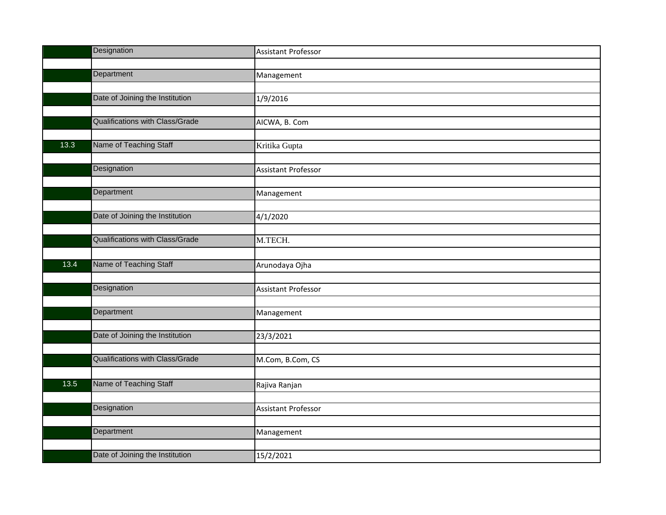|      | Designation                            | <b>Assistant Professor</b> |
|------|----------------------------------------|----------------------------|
|      |                                        |                            |
|      | Department                             | Management                 |
|      |                                        |                            |
|      | Date of Joining the Institution        | 1/9/2016                   |
|      |                                        |                            |
|      | Qualifications with Class/Grade        | AICWA, B. Com              |
|      |                                        |                            |
| 13.3 | Name of Teaching Staff                 | Kritika Gupta              |
|      |                                        |                            |
|      | Designation                            | Assistant Professor        |
|      |                                        |                            |
|      | Department                             | Management                 |
|      |                                        |                            |
|      | Date of Joining the Institution        | 4/1/2020                   |
|      |                                        |                            |
|      | <b>Qualifications with Class/Grade</b> | M.TECH.                    |
|      |                                        |                            |
| 13.4 | Name of Teaching Staff                 | Arunodaya Ojha             |
|      |                                        |                            |
|      | Designation                            | <b>Assistant Professor</b> |
|      |                                        |                            |
|      | Department                             | Management                 |
|      |                                        |                            |
|      | Date of Joining the Institution        | 23/3/2021                  |
|      |                                        |                            |
|      | Qualifications with Class/Grade        | M.Com, B.Com, CS           |
|      |                                        |                            |
| 13.5 | Name of Teaching Staff                 | Rajiva Ranjan              |
|      |                                        |                            |
|      | Designation                            | <b>Assistant Professor</b> |
|      |                                        |                            |
|      | Department                             | Management                 |
|      |                                        |                            |
|      | Date of Joining the Institution        | 15/2/2021                  |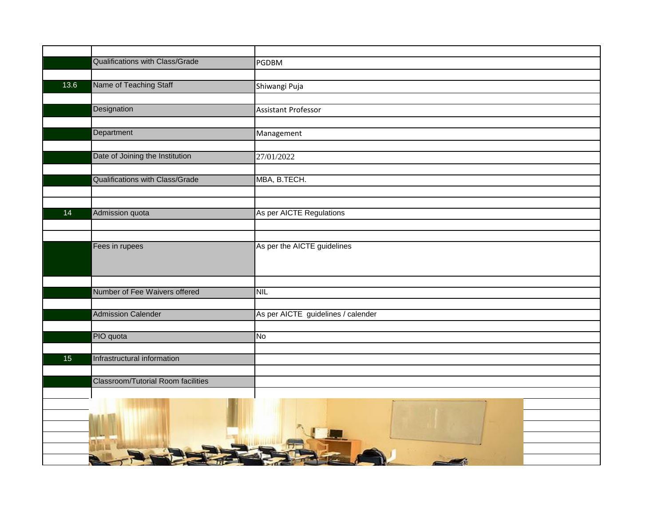|      | Qualifications with Class/Grade           | <b>PGDBM</b>                       |
|------|-------------------------------------------|------------------------------------|
|      |                                           |                                    |
| 13.6 | Name of Teaching Staff                    | Shiwangi Puja                      |
|      |                                           |                                    |
|      | Designation                               | <b>Assistant Professor</b>         |
|      |                                           |                                    |
|      | Department                                | Management                         |
|      |                                           |                                    |
|      | Date of Joining the Institution           | 27/01/2022                         |
|      |                                           |                                    |
|      | Qualifications with Class/Grade           | MBA, B.TECH.                       |
|      |                                           |                                    |
|      |                                           |                                    |
| 14   | Admission quota                           | As per AICTE Regulations           |
|      |                                           |                                    |
|      | Fees in rupees                            | As per the AICTE guidelines        |
|      |                                           |                                    |
|      |                                           |                                    |
|      |                                           |                                    |
|      | Number of Fee Waivers offered             | <b>NIL</b>                         |
|      |                                           |                                    |
|      | <b>Admission Calender</b>                 | As per AICTE guidelines / calender |
|      |                                           |                                    |
|      | PIO quota                                 | No                                 |
|      |                                           |                                    |
| 15   | Infrastructural information               |                                    |
|      |                                           |                                    |
|      | <b>Classroom/Tutorial Room facilities</b> |                                    |
|      |                                           |                                    |
|      |                                           |                                    |
|      |                                           |                                    |
|      |                                           |                                    |
|      |                                           |                                    |
|      |                                           |                                    |
|      |                                           |                                    |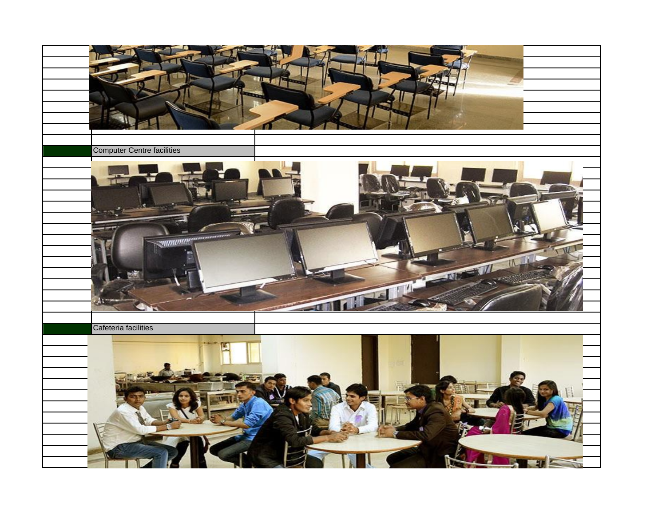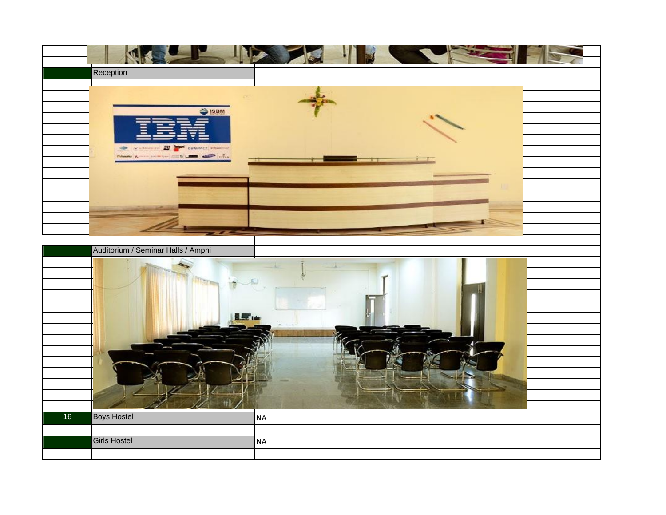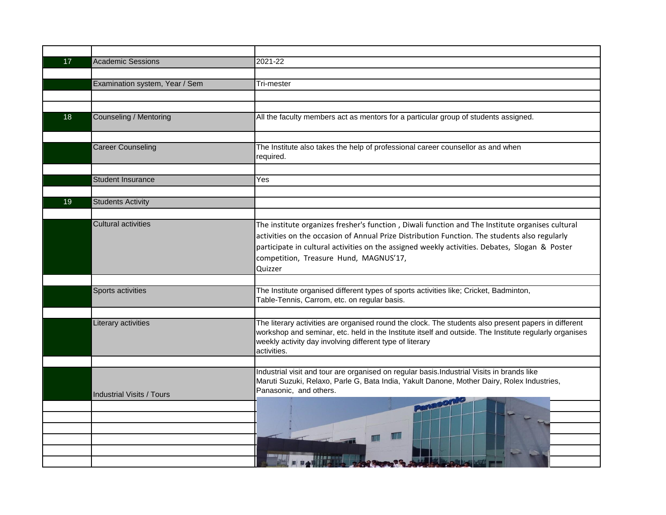| 17 | <b>Academic Sessions</b>         | 2021-22                                                                                                                                                                                                                                                                                                                                                  |
|----|----------------------------------|----------------------------------------------------------------------------------------------------------------------------------------------------------------------------------------------------------------------------------------------------------------------------------------------------------------------------------------------------------|
|    |                                  |                                                                                                                                                                                                                                                                                                                                                          |
|    | Examination system, Year / Sem   | Tri-mester                                                                                                                                                                                                                                                                                                                                               |
|    |                                  |                                                                                                                                                                                                                                                                                                                                                          |
|    |                                  |                                                                                                                                                                                                                                                                                                                                                          |
| 18 | <b>Counseling / Mentoring</b>    | All the faculty members act as mentors for a particular group of students assigned.                                                                                                                                                                                                                                                                      |
|    |                                  |                                                                                                                                                                                                                                                                                                                                                          |
|    | <b>Career Counseling</b>         | The Institute also takes the help of professional career counsellor as and when<br>required.                                                                                                                                                                                                                                                             |
|    |                                  |                                                                                                                                                                                                                                                                                                                                                          |
|    | <b>Student Insurance</b>         | Yes                                                                                                                                                                                                                                                                                                                                                      |
|    |                                  |                                                                                                                                                                                                                                                                                                                                                          |
| 19 | <b>Students Activity</b>         |                                                                                                                                                                                                                                                                                                                                                          |
|    |                                  |                                                                                                                                                                                                                                                                                                                                                          |
|    | <b>Cultural activities</b>       | The institute organizes fresher's function, Diwali function and The Institute organises cultural<br>activities on the occasion of Annual Prize Distribution Function. The students also regularly<br>participate in cultural activities on the assigned weekly activities. Debates, Slogan & Poster<br>competition, Treasure Hund, MAGNUS'17,<br>Quizzer |
|    |                                  |                                                                                                                                                                                                                                                                                                                                                          |
|    | Sports activities                | The Institute organised different types of sports activities like; Cricket, Badminton,<br>Table-Tennis, Carrom, etc. on regular basis.                                                                                                                                                                                                                   |
|    |                                  |                                                                                                                                                                                                                                                                                                                                                          |
|    | Literary activities              | The literary activities are organised round the clock. The students also present papers in different<br>workshop and seminar, etc. held in the Institute itself and outside. The Institute regularly organises<br>weekly activity day involving different type of literary<br>activities.                                                                |
|    |                                  |                                                                                                                                                                                                                                                                                                                                                          |
|    | <b>Industrial Visits / Tours</b> | Industrial visit and tour are organised on regular basis. Industrial Visits in brands like<br>Maruti Suzuki, Relaxo, Parle G, Bata India, Yakult Danone, Mother Dairy, Rolex Industries,<br>Panasonic, and others.                                                                                                                                       |
|    |                                  |                                                                                                                                                                                                                                                                                                                                                          |
|    |                                  |                                                                                                                                                                                                                                                                                                                                                          |